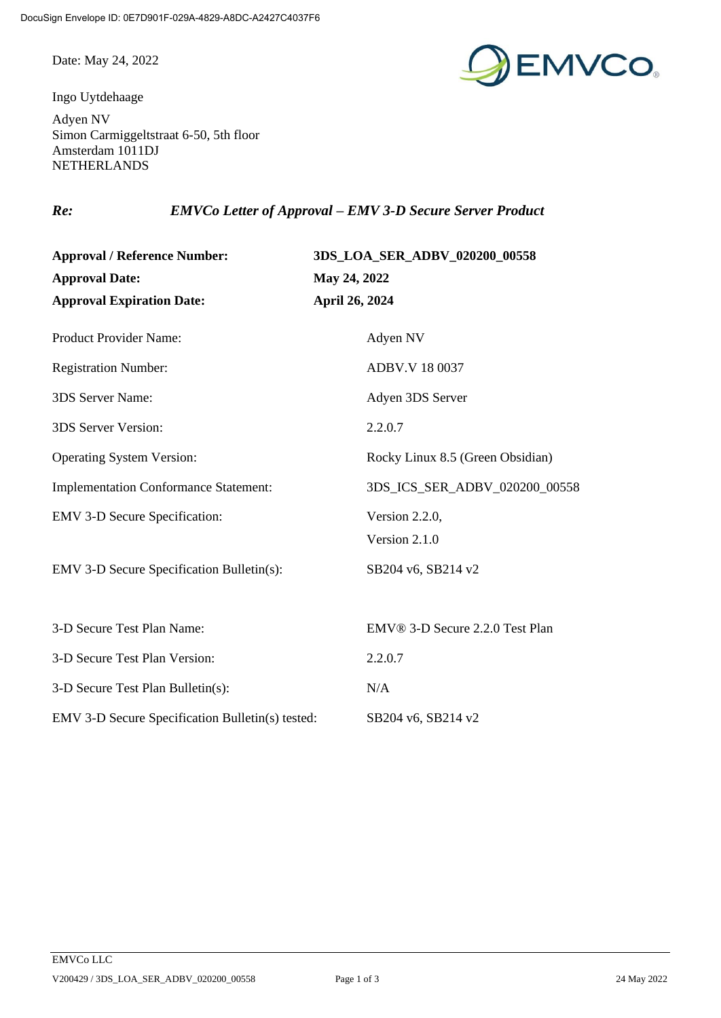Date: May 24, 2022

Ingo Uytdehaage



Adyen NV Simon Carmiggeltstraat 6-50, 5th floor Amsterdam 1011DJ NETHERLANDS

*Re: EMVCo Letter of Approval – EMV 3-D Secure Server Product*

| <b>Approval / Reference Number:</b><br><b>Approval Date:</b><br><b>Approval Expiration Date:</b> | 3DS_LOA_SER_ADBV_020200_00558<br>May 24, 2022<br>April 26, 2024 |                             |                |
|--------------------------------------------------------------------------------------------------|-----------------------------------------------------------------|-----------------------------|----------------|
|                                                                                                  |                                                                 | Product Provider Name:      | Adyen NV       |
|                                                                                                  |                                                                 | <b>Registration Number:</b> | ADBV.V 18 0037 |
| 3DS Server Name:                                                                                 | Adyen 3DS Server                                                |                             |                |
| 3DS Server Version:                                                                              | 2.2.0.7                                                         |                             |                |
| <b>Operating System Version:</b>                                                                 | Rocky Linux 8.5 (Green Obsidian)                                |                             |                |
| <b>Implementation Conformance Statement:</b>                                                     | 3DS_ICS_SER_ADBV_020200_00558                                   |                             |                |
| <b>EMV 3-D Secure Specification:</b>                                                             | Version 2.2.0,                                                  |                             |                |
|                                                                                                  | Version 2.1.0                                                   |                             |                |
| <b>EMV 3-D Secure Specification Bulletin(s):</b>                                                 | SB204 v6, SB214 v2                                              |                             |                |
|                                                                                                  |                                                                 |                             |                |
| 3-D Secure Test Plan Name:                                                                       | EMV® 3-D Secure 2.2.0 Test Plan                                 |                             |                |
| 3-D Secure Test Plan Version:                                                                    | 2.2.0.7                                                         |                             |                |
| 3-D Secure Test Plan Bulletin(s):                                                                | N/A                                                             |                             |                |
| EMV 3-D Secure Specification Bulletin(s) tested:                                                 | SB204 v6, SB214 v2                                              |                             |                |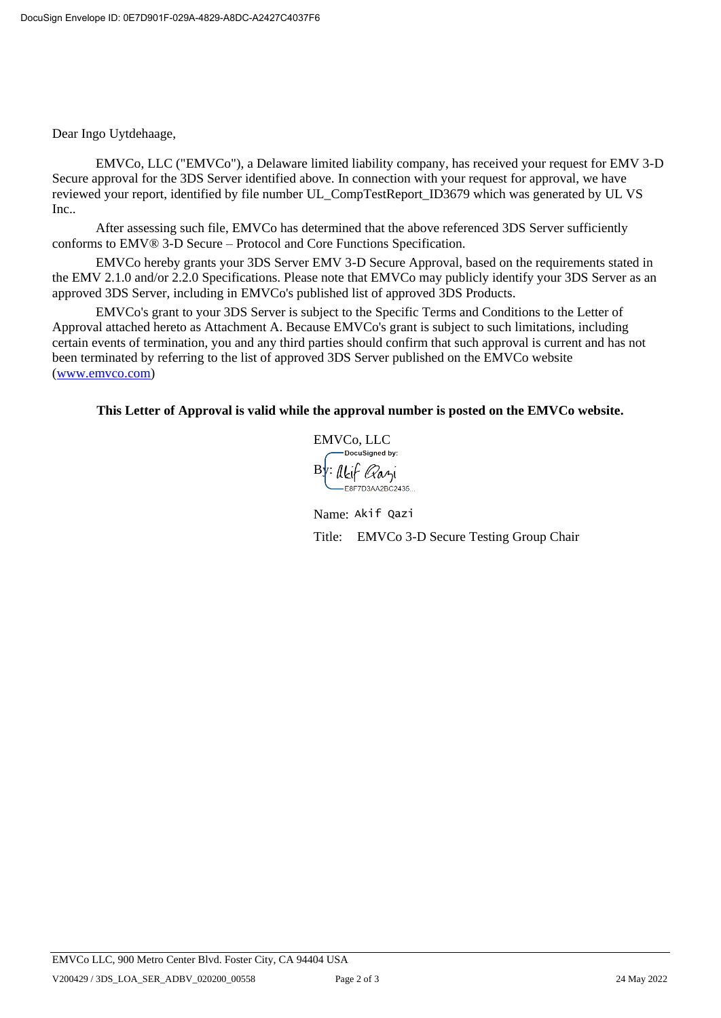Dear Ingo Uytdehaage,

EMVCo, LLC ("EMVCo"), a Delaware limited liability company, has received your request for EMV 3-D Secure approval for the 3DS Server identified above. In connection with your request for approval, we have reviewed your report, identified by file number UL\_CompTestReport\_ID3679 which was generated by UL VS Inc..

After assessing such file, EMVCo has determined that the above referenced 3DS Server sufficiently conforms to EMV® 3-D Secure – Protocol and Core Functions Specification.

EMVCo hereby grants your 3DS Server EMV 3-D Secure Approval, based on the requirements stated in the EMV 2.1.0 and/or 2.2.0 Specifications. Please note that EMVCo may publicly identify your 3DS Server as an approved 3DS Server, including in EMVCo's published list of approved 3DS Products.

EMVCo's grant to your 3DS Server is subject to the Specific Terms and Conditions to the Letter of Approval attached hereto as Attachment A. Because EMVCo's grant is subject to such limitations, including certain events of termination, you and any third parties should confirm that such approval is current and has not been terminated by referring to the list of approved 3DS Server published on the EMVCo website [\(www.emvco.com\)](http://www.emvco.com/)

## **This Letter of Approval is valid while the approval number is posted on the EMVCo website.**

EMVCo, LLC DocuSianed by:  $By:$ Akif Qazi -<br>E8F7D3AA2BC2435..

Name: Akif QaziTitle: EMVCo 3-D Secure Testing Group Chair